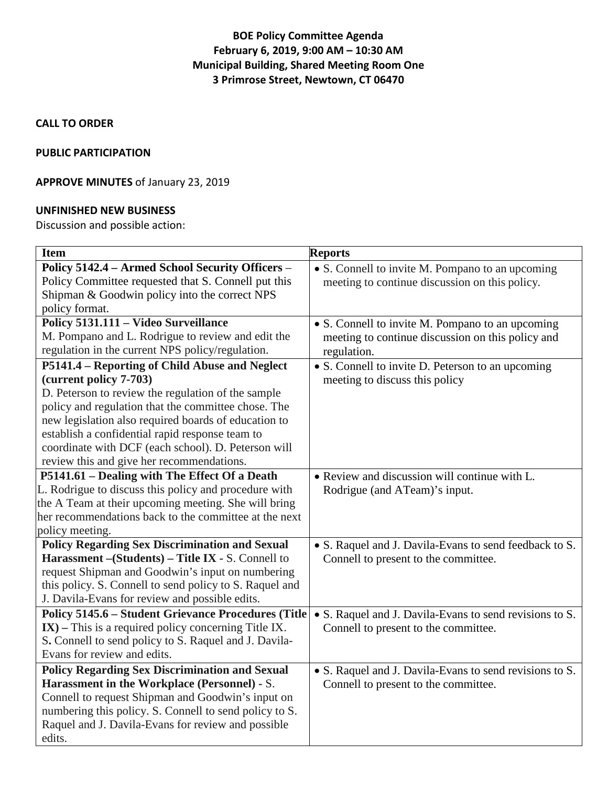# **BOE Policy Committee Agenda February 6, 2019, 9:00 AM – 10:30 AM Municipal Building, Shared Meeting Room One 3 Primrose Street, Newtown, CT 06470**

### **CALL TO ORDER**

#### **PUBLIC PARTICIPATION**

## **APPROVE MINUTES** of January 23, 2019

#### **UNFINISHED NEW BUSINESS**

Discussion and possible action:

| <b>Item</b>                                                | <b>Reports</b>                                          |
|------------------------------------------------------------|---------------------------------------------------------|
| Policy 5142.4 - Armed School Security Officers -           | • S. Connell to invite M. Pompano to an upcoming        |
| Policy Committee requested that S. Connell put this        | meeting to continue discussion on this policy.          |
| Shipman & Goodwin policy into the correct NPS              |                                                         |
| policy format.                                             |                                                         |
| Policy 5131.111 - Video Surveillance                       | • S. Connell to invite M. Pompano to an upcoming        |
| M. Pompano and L. Rodrigue to review and edit the          | meeting to continue discussion on this policy and       |
| regulation in the current NPS policy/regulation.           | regulation.                                             |
| P5141.4 - Reporting of Child Abuse and Neglect             | • S. Connell to invite D. Peterson to an upcoming       |
| (current policy 7-703)                                     | meeting to discuss this policy                          |
| D. Peterson to review the regulation of the sample         |                                                         |
| policy and regulation that the committee chose. The        |                                                         |
| new legislation also required boards of education to       |                                                         |
| establish a confidential rapid response team to            |                                                         |
| coordinate with DCF (each school). D. Peterson will        |                                                         |
| review this and give her recommendations.                  |                                                         |
| P5141.61 - Dealing with The Effect Of a Death              | • Review and discussion will continue with L.           |
| L. Rodrigue to discuss this policy and procedure with      | Rodrigue (and ATeam)'s input.                           |
| the A Team at their upcoming meeting. She will bring       |                                                         |
| her recommendations back to the committee at the next      |                                                         |
| policy meeting.                                            |                                                         |
| <b>Policy Regarding Sex Discrimination and Sexual</b>      | • S. Raquel and J. Davila-Evans to send feedback to S.  |
| Harassment - (Students) - Title IX - S. Connell to         | Connell to present to the committee.                    |
| request Shipman and Goodwin's input on numbering           |                                                         |
| this policy. S. Connell to send policy to S. Raquel and    |                                                         |
| J. Davila-Evans for review and possible edits.             |                                                         |
| <b>Policy 5145.6 - Student Grievance Procedures (Title</b> | • S. Raquel and J. Davila-Evans to send revisions to S. |
| $IX$ ) – This is a required policy concerning Title IX.    | Connell to present to the committee.                    |
| S. Connell to send policy to S. Raquel and J. Davila-      |                                                         |
| Evans for review and edits.                                |                                                         |
| <b>Policy Regarding Sex Discrimination and Sexual</b>      | • S. Raquel and J. Davila-Evans to send revisions to S. |
| Harassment in the Workplace (Personnel) - S.               | Connell to present to the committee.                    |
| Connell to request Shipman and Goodwin's input on          |                                                         |
| numbering this policy. S. Connell to send policy to S.     |                                                         |
| Raquel and J. Davila-Evans for review and possible         |                                                         |
| edits.                                                     |                                                         |